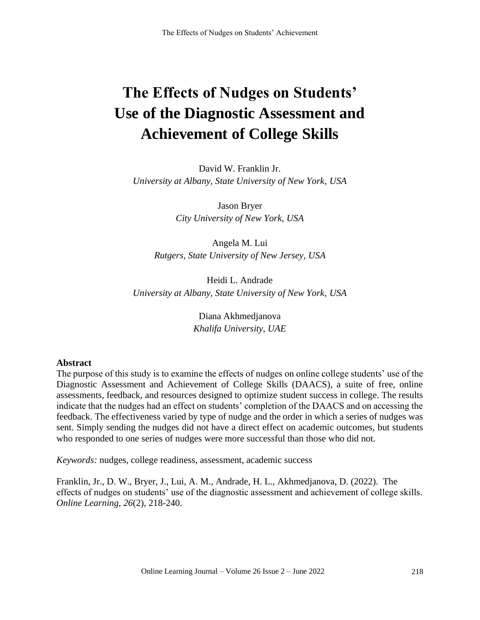# **The Effects of Nudges on Students' Use of the Diagnostic Assessment and Achievement of College Skills**

David W. Franklin Jr. *University at Albany, State University of New York*, *USA*

> Jason Bryer *City University of New York, USA*

Angela M. Lui *Rutgers, State University of New Jersey, USA*

Heidi L. Andrade *University at Albany, State University of New York*, *USA*

> Diana Akhmedjanova *Khalifa University, UAE*

## **Abstract**

The purpose of this study is to examine the effects of nudges on online college students' use of the Diagnostic Assessment and Achievement of College Skills (DAACS), a suite of free, online assessments, feedback, and resources designed to optimize student success in college. The results indicate that the nudges had an effect on students' completion of the DAACS and on accessing the feedback. The effectiveness varied by type of nudge and the order in which a series of nudges was sent. Simply sending the nudges did not have a direct effect on academic outcomes, but students who responded to one series of nudges were more successful than those who did not.

*Keywords:* nudges, college readiness, assessment, academic success

Franklin, Jr., D. W., Bryer, J., Lui, A. M., Andrade, H. L., Akhmedjanova, D. (2022). The effects of nudges on students' use of the diagnostic assessment and achievement of college skills. *Online Learning, 26*(2), 218-240.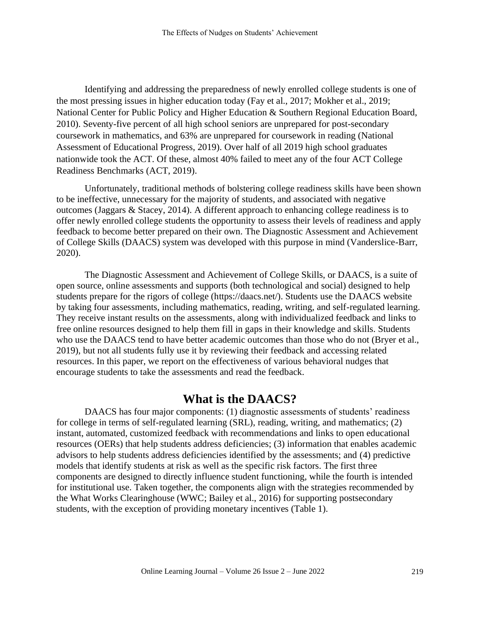Identifying and addressing the preparedness of newly enrolled college students is one of the most pressing issues in higher education today (Fay et al., 2017; Mokher et al., 2019; National Center for Public Policy and Higher Education & Southern Regional Education Board, 2010). Seventy-five percent of all high school seniors are unprepared for post-secondary coursework in mathematics, and 63% are unprepared for coursework in reading (National Assessment of Educational Progress, 2019). Over half of all 2019 high school graduates nationwide took the ACT. Of these, almost 40% failed to meet any of the four ACT College Readiness Benchmarks (ACT, 2019).

Unfortunately, traditional methods of bolstering college readiness skills have been shown to be ineffective, unnecessary for the majority of students, and associated with negative outcomes (Jaggars & Stacey, 2014). A different approach to enhancing college readiness is to offer newly enrolled college students the opportunity to assess their levels of readiness and apply feedback to become better prepared on their own. The Diagnostic Assessment and Achievement of College Skills (DAACS) system was developed with this purpose in mind (Vanderslice-Barr, 2020).

The Diagnostic Assessment and Achievement of College Skills, or DAACS, is a suite of open source, online assessments and supports (both technological and social) designed to help students prepare for the rigors of college (https://daacs.net/). Students use the DAACS website by taking four assessments, including mathematics, reading, writing, and self-regulated learning. They receive instant results on the assessments, along with individualized feedback and links to free online resources designed to help them fill in gaps in their knowledge and skills. Students who use the DAACS tend to have better academic outcomes than those who do not (Bryer et al., 2019), but not all students fully use it by reviewing their feedback and accessing related resources. In this paper, we report on the effectiveness of various behavioral nudges that encourage students to take the assessments and read the feedback.

# **What is the DAACS?**

DAACS has four major components: (1) diagnostic assessments of students' readiness for college in terms of self-regulated learning (SRL), reading, writing, and mathematics; (2) instant, automated, customized feedback with recommendations and links to open educational resources (OERs) that help students address deficiencies; (3) information that enables academic advisors to help students address deficiencies identified by the assessments; and (4) predictive models that identify students at risk as well as the specific risk factors. The first three components are designed to directly influence student functioning, while the fourth is intended for institutional use. Taken together, the components align with the strategies recommended by the What Works Clearinghouse (WWC; Bailey et al., 2016) for supporting postsecondary students, with the exception of providing monetary incentives (Table 1).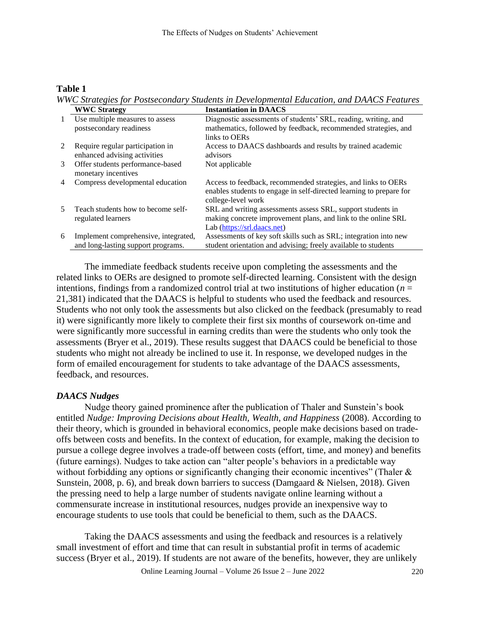#### **Table 1**

*WWC Strategies for Postsecondary Students in Developmental Education, and DAACS Features* **WWC Strategy Instantiation in DAACS**

|   | <i>W</i> WC Strategy                                                       | німаннаціянні і радсэ                                                                                                                                       |
|---|----------------------------------------------------------------------------|-------------------------------------------------------------------------------------------------------------------------------------------------------------|
|   | Use multiple measures to assess<br>postsecondary readiness                 | Diagnostic assessments of students' SRL, reading, writing, and<br>mathematics, followed by feedback, recommended strategies, and<br>links to OERs           |
|   | Require regular participation in<br>enhanced advising activities           | Access to DAACS dashboards and results by trained academic<br>advisors                                                                                      |
| 3 | Offer students performance-based<br>monetary incentives                    | Not applicable                                                                                                                                              |
| 4 | Compress developmental education                                           | Access to feedback, recommended strategies, and links to OERs<br>enables students to engage in self-directed learning to prepare for<br>college-level work  |
|   | Teach students how to become self-<br>regulated learners                   | SRL and writing assessments assess SRL, support students in<br>making concrete improvement plans, and link to the online SRL<br>Lab (https://srl.daacs.net) |
| 6 | Implement comprehensive, integrated,<br>and long-lasting support programs. | Assessments of key soft skills such as SRL; integration into new<br>student orientation and advising; freely available to students                          |

The immediate feedback students receive upon completing the assessments and the related links to OERs are designed to promote self-directed learning. Consistent with the design intentions, findings from a randomized control trial at two institutions of higher education ( $n =$ 21,381) indicated that the DAACS is helpful to students who used the feedback and resources. Students who not only took the assessments but also clicked on the feedback (presumably to read it) were significantly more likely to complete their first six months of coursework on-time and were significantly more successful in earning credits than were the students who only took the assessments (Bryer et al., 2019). These results suggest that DAACS could be beneficial to those students who might not already be inclined to use it. In response, we developed nudges in the form of emailed encouragement for students to take advantage of the DAACS assessments, feedback, and resources.

## *DAACS Nudges*

Nudge theory gained prominence after the publication of Thaler and Sunstein's book entitled *Nudge: Improving Decisions about Health, Wealth, and Happiness* (2008). According to their theory, which is grounded in behavioral economics, people make decisions based on tradeoffs between costs and benefits. In the context of education, for example, making the decision to pursue a college degree involves a trade-off between costs (effort, time, and money) and benefits (future earnings). Nudges to take action can "alter people's behaviors in a predictable way without forbidding any options or significantly changing their economic incentives" (Thaler  $\&$ Sunstein, 2008, p. 6), and break down barriers to success (Damgaard & Nielsen, 2018). Given the pressing need to help a large number of students navigate online learning without a commensurate increase in institutional resources, nudges provide an inexpensive way to encourage students to use tools that could be beneficial to them, such as the DAACS.

Taking the DAACS assessments and using the feedback and resources is a relatively small investment of effort and time that can result in substantial profit in terms of academic success (Bryer et al., 2019). If students are not aware of the benefits, however, they are unlikely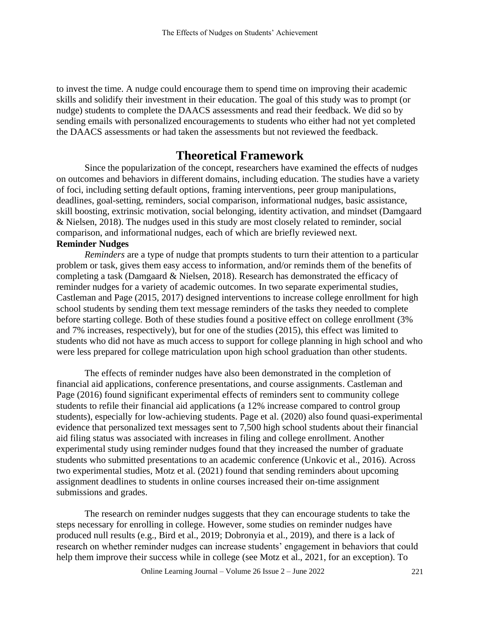to invest the time. A nudge could encourage them to spend time on improving their academic skills and solidify their investment in their education. The goal of this study was to prompt (or nudge) students to complete the DAACS assessments and read their feedback. We did so by sending emails with personalized encouragements to students who either had not yet completed the DAACS assessments or had taken the assessments but not reviewed the feedback.

## **Theoretical Framework**

Since the popularization of the concept, researchers have examined the effects of nudges on outcomes and behaviors in different domains, including education. The studies have a variety of foci, including setting default options, framing interventions, peer group manipulations, deadlines, goal-setting, reminders, social comparison, informational nudges, basic assistance, skill boosting, extrinsic motivation, social belonging, identity activation, and mindset (Damgaard & Nielsen, 2018). The nudges used in this study are most closely related to reminder, social comparison, and informational nudges, each of which are briefly reviewed next. **Reminder Nudges**

*Reminders* are a type of nudge that prompts students to turn their attention to a particular problem or task, gives them easy access to information, and/or reminds them of the benefits of completing a task (Damgaard & Nielsen, 2018). Research has demonstrated the efficacy of reminder nudges for a variety of academic outcomes. In two separate experimental studies, Castleman and Page (2015, 2017) designed interventions to increase college enrollment for high school students by sending them text message reminders of the tasks they needed to complete before starting college. Both of these studies found a positive effect on college enrollment (3% and 7% increases, respectively), but for one of the studies (2015), this effect was limited to students who did not have as much access to support for college planning in high school and who were less prepared for college matriculation upon high school graduation than other students.

The effects of reminder nudges have also been demonstrated in the completion of financial aid applications, conference presentations, and course assignments. Castleman and Page (2016) found significant experimental effects of reminders sent to community college students to refile their financial aid applications (a 12% increase compared to control group students), especially for low-achieving students. Page et al. (2020) also found quasi-experimental evidence that personalized text messages sent to 7,500 high school students about their financial aid filing status was associated with increases in filing and college enrollment. Another experimental study using reminder nudges found that they increased the number of graduate students who submitted presentations to an academic conference (Unkovic et al., 2016). Across two experimental studies, Motz et al. (2021) found that sending reminders about upcoming assignment deadlines to students in online courses increased their on-time assignment submissions and grades.

The research on reminder nudges suggests that they can encourage students to take the steps necessary for enrolling in college. However, some studies on reminder nudges have produced null results (e.g., Bird et al., 2019; Dobronyia et al., 2019), and there is a lack of research on whether reminder nudges can increase students' engagement in behaviors that could help them improve their success while in college (see Motz et al., 2021, for an exception). To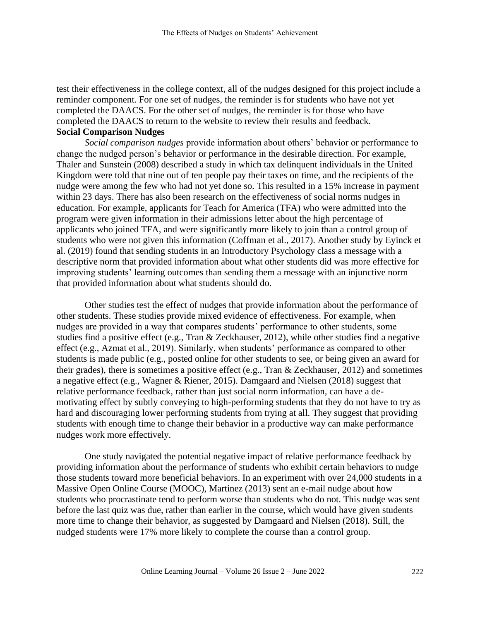test their effectiveness in the college context, all of the nudges designed for this project include a reminder component. For one set of nudges, the reminder is for students who have not yet completed the DAACS. For the other set of nudges, the reminder is for those who have completed the DAACS to return to the website to review their results and feedback. **Social Comparison Nudges**

*Social comparison nudges* provide information about others' behavior or performance to change the nudged person's behavior or performance in the desirable direction. For example, Thaler and Sunstein (2008) described a study in which tax delinquent individuals in the United Kingdom were told that nine out of ten people pay their taxes on time, and the recipients of the nudge were among the few who had not yet done so. This resulted in a 15% increase in payment within 23 days. There has also been research on the effectiveness of social norms nudges in education. For example, applicants for Teach for America (TFA) who were admitted into the program were given information in their admissions letter about the high percentage of applicants who joined TFA, and were significantly more likely to join than a control group of students who were not given this information (Coffman et al., 2017). Another study by Eyinck et al. (2019) found that sending students in an Introductory Psychology class a message with a descriptive norm that provided information about what other students did was more effective for improving students' learning outcomes than sending them a message with an injunctive norm that provided information about what students should do.

Other studies test the effect of nudges that provide information about the performance of other students. These studies provide mixed evidence of effectiveness. For example, when nudges are provided in a way that compares students' performance to other students, some studies find a positive effect (e.g., Tran & Zeckhauser, 2012), while other studies find a negative effect (e.g., Azmat et al., 2019). Similarly, when students' performance as compared to other students is made public (e.g., posted online for other students to see, or being given an award for their grades), there is sometimes a positive effect (e.g., Tran & Zeckhauser, 2012) and sometimes a negative effect (e.g., Wagner & Riener, 2015). Damgaard and Nielsen (2018) suggest that relative performance feedback, rather than just social norm information, can have a demotivating effect by subtly conveying to high-performing students that they do not have to try as hard and discouraging lower performing students from trying at all. They suggest that providing students with enough time to change their behavior in a productive way can make performance nudges work more effectively.

One study navigated the potential negative impact of relative performance feedback by providing information about the performance of students who exhibit certain behaviors to nudge those students toward more beneficial behaviors. In an experiment with over 24,000 students in a Massive Open Online Course (MOOC), Martinez (2013) sent an e-mail nudge about how students who procrastinate tend to perform worse than students who do not. This nudge was sent before the last quiz was due, rather than earlier in the course, which would have given students more time to change their behavior, as suggested by Damgaard and Nielsen (2018). Still, the nudged students were 17% more likely to complete the course than a control group.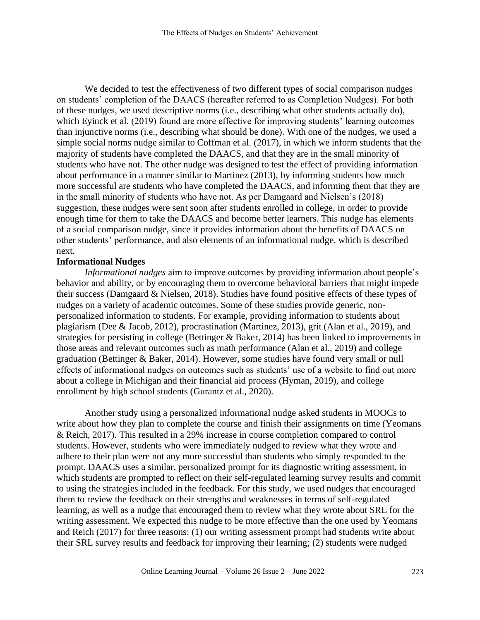We decided to test the effectiveness of two different types of social comparison nudges on students' completion of the DAACS (hereafter referred to as Completion Nudges). For both of these nudges, we used descriptive norms (i.e., describing what other students actually do), which Eyinck et al. (2019) found are more effective for improving students' learning outcomes than injunctive norms (i.e., describing what should be done). With one of the nudges, we used a simple social norms nudge similar to Coffman et al. (2017), in which we inform students that the majority of students have completed the DAACS, and that they are in the small minority of students who have not. The other nudge was designed to test the effect of providing information about performance in a manner similar to Martinez (2013), by informing students how much more successful are students who have completed the DAACS, and informing them that they are in the small minority of students who have not. As per Damgaard and Nielsen's (2018) suggestion, these nudges were sent soon after students enrolled in college, in order to provide enough time for them to take the DAACS and become better learners. This nudge has elements of a social comparison nudge, since it provides information about the benefits of DAACS on other students' performance, and also elements of an informational nudge, which is described next.

#### **Informational Nudges**

*Informational nudges* aim to improve outcomes by providing information about people's behavior and ability, or by encouraging them to overcome behavioral barriers that might impede their success (Damgaard & Nielsen, 2018). Studies have found positive effects of these types of nudges on a variety of academic outcomes. Some of these studies provide generic, nonpersonalized information to students. For example, providing information to students about plagiarism (Dee & Jacob, 2012), procrastination (Martinez, 2013), grit (Alan et al., 2019), and strategies for persisting in college (Bettinger & Baker, 2014) has been linked to improvements in those areas and relevant outcomes such as math performance (Alan et al., 2019) and college graduation (Bettinger & Baker, 2014). However, some studies have found very small or null effects of informational nudges on outcomes such as students' use of a website to find out more about a college in Michigan and their financial aid process (Hyman, 2019), and college enrollment by high school students (Gurantz et al., 2020).

Another study using a personalized informational nudge asked students in MOOCs to write about how they plan to complete the course and finish their assignments on time (Yeomans & Reich, 2017). This resulted in a 29% increase in course completion compared to control students. However, students who were immediately nudged to review what they wrote and adhere to their plan were not any more successful than students who simply responded to the prompt. DAACS uses a similar, personalized prompt for its diagnostic writing assessment, in which students are prompted to reflect on their self-regulated learning survey results and commit to using the strategies included in the feedback. For this study, we used nudges that encouraged them to review the feedback on their strengths and weaknesses in terms of self-regulated learning, as well as a nudge that encouraged them to review what they wrote about SRL for the writing assessment. We expected this nudge to be more effective than the one used by Yeomans and Reich (2017) for three reasons: (1) our writing assessment prompt had students write about their SRL survey results and feedback for improving their learning; (2) students were nudged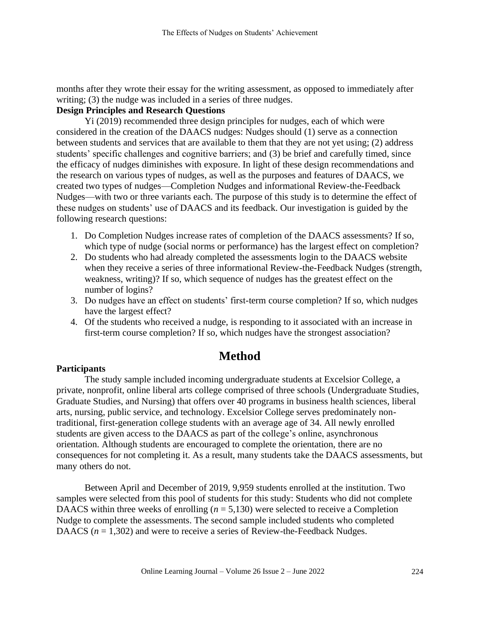months after they wrote their essay for the writing assessment, as opposed to immediately after writing; (3) the nudge was included in a series of three nudges.

#### **Design Principles and Research Questions**

Yi (2019) recommended three design principles for nudges, each of which were considered in the creation of the DAACS nudges: Nudges should (1) serve as a connection between students and services that are available to them that they are not yet using; (2) address students' specific challenges and cognitive barriers; and (3) be brief and carefully timed, since the efficacy of nudges diminishes with exposure. In light of these design recommendations and the research on various types of nudges, as well as the purposes and features of DAACS, we created two types of nudges—Completion Nudges and informational Review-the-Feedback Nudges—with two or three variants each. The purpose of this study is to determine the effect of these nudges on students' use of DAACS and its feedback. Our investigation is guided by the following research questions:

- 1. Do Completion Nudges increase rates of completion of the DAACS assessments? If so, which type of nudge (social norms or performance) has the largest effect on completion?
- 2. Do students who had already completed the assessments login to the DAACS website when they receive a series of three informational Review-the-Feedback Nudges (strength, weakness, writing)? If so, which sequence of nudges has the greatest effect on the number of logins?
- 3. Do nudges have an effect on students' first-term course completion? If so, which nudges have the largest effect?
- 4. Of the students who received a nudge, is responding to it associated with an increase in first-term course completion? If so, which nudges have the strongest association?

# **Method**

#### **Participants**

The study sample included incoming undergraduate students at Excelsior College, a private, nonprofit, online liberal arts college comprised of three schools (Undergraduate Studies, Graduate Studies, and Nursing) that offers over 40 programs in business health sciences, liberal arts, nursing, public service, and technology. Excelsior College serves predominately nontraditional, first-generation college students with an average age of 34. All newly enrolled students are given access to the DAACS as part of the college's online, asynchronous orientation. Although students are encouraged to complete the orientation, there are no consequences for not completing it. As a result, many students take the DAACS assessments, but many others do not.

Between April and December of 2019, 9,959 students enrolled at the institution. Two samples were selected from this pool of students for this study: Students who did not complete DAACS within three weeks of enrolling  $(n = 5,130)$  were selected to receive a Completion Nudge to complete the assessments. The second sample included students who completed DAACS  $(n = 1,302)$  and were to receive a series of Review-the-Feedback Nudges.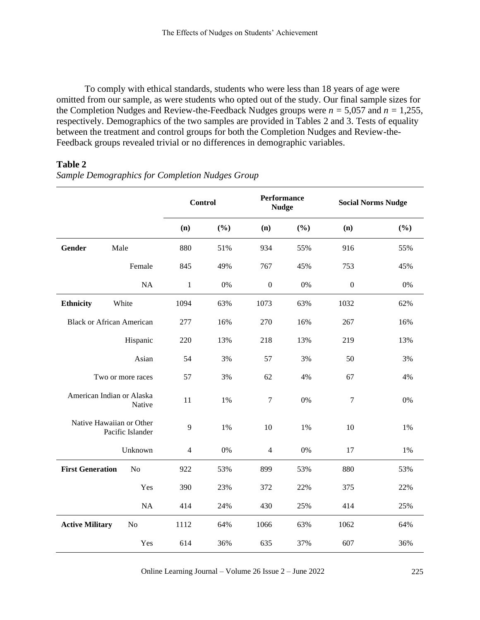To comply with ethical standards, students who were less than 18 years of age were omitted from our sample, as were students who opted out of the study. Our final sample sizes for the Completion Nudges and Review-the-Feedback Nudges groups were  $n = 5,057$  and  $n = 1,255$ , respectively. Demographics of the two samples are provided in Tables 2 and 3. Tests of equality between the treatment and control groups for both the Completion Nudges and Review-the-Feedback groups revealed trivial or no differences in demographic variables.

#### **Table 2**

*Sample Demographics for Completion Nudges Group*

|                                              |                                  | <b>Control</b> |       | <b>Performance</b><br><b>Nudge</b> |       | <b>Social Norms Nudge</b> |     |
|----------------------------------------------|----------------------------------|----------------|-------|------------------------------------|-------|---------------------------|-----|
|                                              |                                  | (n)            | (%)   | (n)                                | (%)   | (n)                       | (%) |
| <b>Gender</b>                                | Male                             | 880            | 51%   | 934                                | 55%   | 916                       | 55% |
|                                              | Female                           | 845            | 49%   | 767                                | 45%   | 753                       | 45% |
|                                              | <b>NA</b>                        | $\mathbf{1}$   | $0\%$ | $\boldsymbol{0}$                   | $0\%$ | $\boldsymbol{0}$          | 0%  |
| <b>Ethnicity</b>                             | White                            | 1094           | 63%   | 1073                               | 63%   | 1032                      | 62% |
|                                              | <b>Black or African American</b> | 277            | 16%   | 270                                | 16%   | 267                       | 16% |
|                                              | Hispanic                         | 220            | 13%   | 218                                | 13%   | 219                       | 13% |
|                                              | Asian                            | 54             | 3%    | 57                                 | 3%    | 50                        | 3%  |
| Two or more races                            |                                  | 57             | 3%    | 62                                 | 4%    | 67                        | 4%  |
| American Indian or Alaska<br>Native          |                                  | 11             | 1%    | $\tau$                             | 0%    | $\tau$                    | 0%  |
| Native Hawaiian or Other<br>Pacific Islander |                                  | 9              | 1%    | 10                                 | 1%    | 10                        | 1%  |
|                                              | Unknown                          | $\overline{4}$ | 0%    | $\overline{4}$                     | 0%    | 17                        | 1%  |
| <b>First Generation</b>                      | N <sub>o</sub>                   | 922            | 53%   | 899                                | 53%   | 880                       | 53% |
|                                              | Yes                              | 390            | 23%   | 372                                | 22%   | 375                       | 22% |
|                                              | NA                               | 414            | 24%   | 430                                | 25%   | 414                       | 25% |
| <b>Active Military</b>                       | N <sub>o</sub>                   | 1112           | 64%   | 1066                               | 63%   | 1062                      | 64% |
|                                              | Yes                              | 614            | 36%   | 635                                | 37%   | 607                       | 36% |

Online Learning Journal – Volume 26 Issue 2 – June 2022 225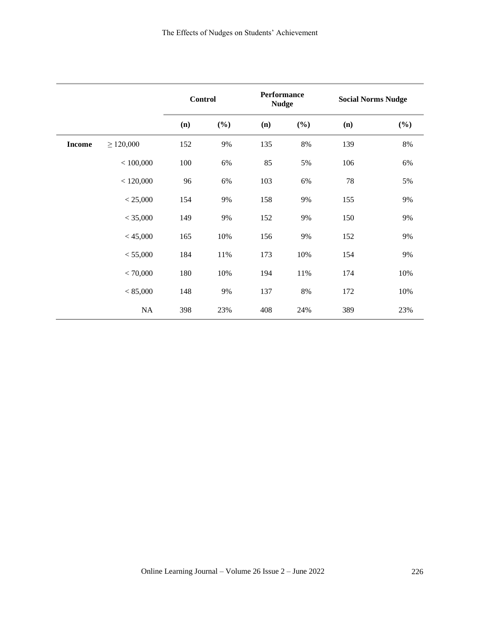|               |                | <b>Control</b> |     | <b>Performance</b><br><b>Nudge</b> |        | <b>Social Norms Nudge</b> |        |
|---------------|----------------|----------------|-----|------------------------------------|--------|---------------------------|--------|
|               |                | (n)            | (%) | (n)                                | $(\%)$ | (n)                       | $(\%)$ |
| <b>Income</b> | $\geq 120,000$ | 152            | 9%  | 135                                | $8\%$  | 139                       | $8\%$  |
|               | < 100,000      | 100            | 6%  | 85                                 | 5%     | 106                       | 6%     |
|               | < 120,000      | 96             | 6%  | 103                                | 6%     | 78                        | 5%     |
|               | < 25,000       | 154            | 9%  | 158                                | 9%     | 155                       | 9%     |
|               | < 35,000       | 149            | 9%  | 152                                | 9%     | 150                       | 9%     |
|               | < 45,000       | 165            | 10% | 156                                | 9%     | 152                       | 9%     |
|               | < 55,000       | 184            | 11% | 173                                | 10%    | 154                       | 9%     |
|               | < 70,000       | 180            | 10% | 194                                | 11%    | 174                       | 10%    |
|               | < 85,000       | 148            | 9%  | 137                                | 8%     | 172                       | 10%    |
|               | NA             | 398            | 23% | 408                                | 24%    | 389                       | 23%    |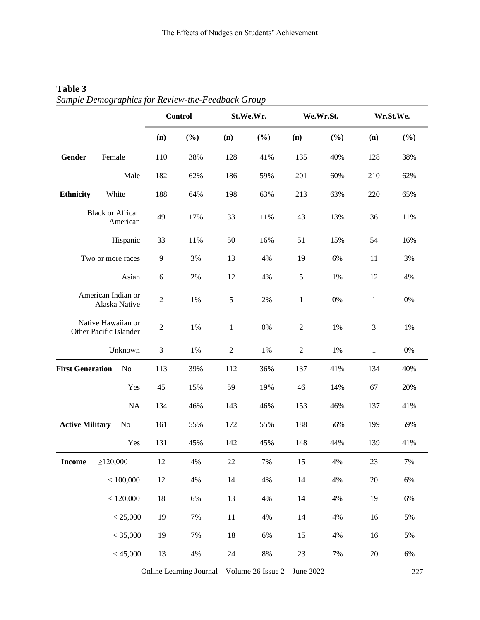|                         |                                              | Control        |        |                | St.We.Wr. |                | We.Wr.St. |              | Wr.St.We. |  |
|-------------------------|----------------------------------------------|----------------|--------|----------------|-----------|----------------|-----------|--------------|-----------|--|
|                         |                                              | (n)            | $(\%)$ | (n)            | $(\%)$    | (n)            | (%)       | (n)          | (%)       |  |
| Gender                  | Female                                       | 110            | 38%    | 128            | 41%       | 135            | 40%       | 128          | 38%       |  |
|                         | Male                                         | 182            | 62%    | 186            | 59%       | 201            | 60%       | 210          | 62%       |  |
| <b>Ethnicity</b>        | White                                        | 188            | 64%    | 198            | 63%       | 213            | 63%       | 220          | 65%       |  |
|                         | <b>Black or African</b><br>American          | 49             | 17%    | 33             | 11%       | 43             | 13%       | 36           | 11%       |  |
|                         | Hispanic                                     | 33             | 11%    | 50             | 16%       | 51             | 15%       | 54           | 16%       |  |
|                         | Two or more races                            | 9              | 3%     | 13             | 4%        | 19             | 6%        | 11           | 3%        |  |
|                         | Asian                                        | $\sqrt{6}$     | 2%     | 12             | 4%        | 5              | 1%        | 12           | 4%        |  |
|                         | American Indian or<br>Alaska Native          | $\overline{2}$ | 1%     | 5              | 2%        | $\mathbf{1}$   | 0%        | $\mathbf{1}$ | 0%        |  |
|                         | Native Hawaiian or<br>Other Pacific Islander | $\sqrt{2}$     | 1%     | $\mathbf{1}$   | 0%        | $\sqrt{2}$     | 1%        | 3            | 1%        |  |
|                         | Unknown                                      | $\mathfrak{Z}$ | 1%     | $\mathfrak{2}$ | 1%        | $\mathfrak{2}$ | 1%        | $\mathbf{1}$ | $0\%$     |  |
| <b>First Generation</b> | N <sub>o</sub>                               | 113            | 39%    | 112            | 36%       | 137            | 41%       | 134          | 40%       |  |
|                         | Yes                                          | 45             | 15%    | 59             | 19%       | 46             | 14%       | 67           | 20%       |  |
|                         | NA                                           | 134            | 46%    | 143            | 46%       | 153            | 46%       | 137          | 41%       |  |
| <b>Active Military</b>  | N <sub>0</sub>                               | 161            | 55%    | 172            | 55%       | 188            | 56%       | 199          | 59%       |  |
|                         | Yes                                          | 131            | 45%    | 142            | 45%       | 148            | 44%       | 139          | 41%       |  |
| <b>Income</b>           | $\geq$ 120,000                               | 12             | $4\%$  | $22\,$         | 7%        | 15             | 4%        | $23\,$       | 7%        |  |
|                         | < 100,000                                    | 12             | 4%     | $14$           | 4%        | $14$           | 4%        | $20\,$       | 6%        |  |
|                         | < 120,000                                    | 18             | 6%     | 13             | 4%        | 14             | 4%        | 19           | 6%        |  |
|                         | < 25,000                                     | 19             | 7%     | 11             | 4%        | 14             | 4%        | 16           | 5%        |  |
|                         | < 35,000                                     | 19             | 7%     | 18             | 6%        | 15             | 4%        | 16           | 5%        |  |
|                         | < 45,000                                     | 13             | $4\%$  | 24             | $8\%$     | 23             | 7%        | $20\,$       | $6\%$     |  |

## **Table 3** *Sample Demographics for Review-the-Feedback Group*

Online Learning Journal – Volume 26 Issue 2 – June 2022 227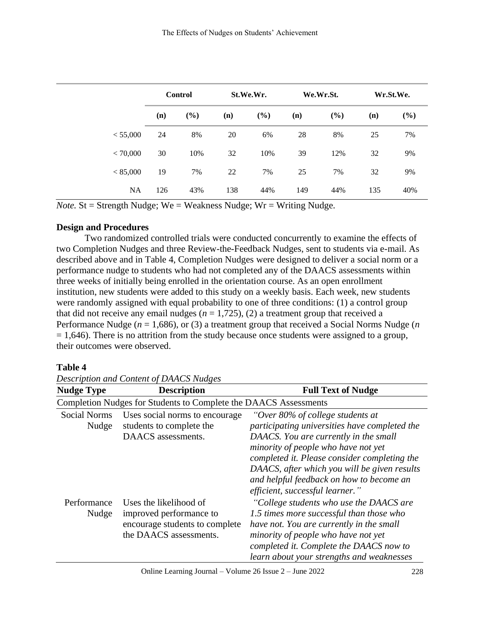|           |     | <b>Control</b> |     | St.We.Wr. |     | We.Wr.St. |     | Wr.St.We. |
|-----------|-----|----------------|-----|-----------|-----|-----------|-----|-----------|
|           | (n) | $(\%)$         | (n) | (%)       | (n) | (%)       | (n) | (%)       |
| < 55,000  | 24  | 8%             | 20  | 6%        | 28  | 8%        | 25  | 7%        |
| < 70,000  | 30  | 10%            | 32  | 10%       | 39  | 12%       | 32  | 9%        |
| < 85,000  | 19  | 7%             | 22  | 7%        | 25  | 7%        | 32  | 9%        |
| <b>NA</b> | 126 | 43%            | 138 | 44%       | 149 | 44%       | 135 | 40%       |

*Note.*  $St =$  Strength Nudge;  $We =$  Weakness Nudge;  $Wr =$  Writing Nudge.

#### **Design and Procedures**

Two randomized controlled trials were conducted concurrently to examine the effects of two Completion Nudges and three Review-the-Feedback Nudges, sent to students via e-mail. As described above and in Table 4, Completion Nudges were designed to deliver a social norm or a performance nudge to students who had not completed any of the DAACS assessments within three weeks of initially being enrolled in the orientation course. As an open enrollment institution, new students were added to this study on a weekly basis. Each week, new students were randomly assigned with equal probability to one of three conditions: (1) a control group that did not receive any email nudges  $(n = 1, 725)$ ,  $(2)$  a treatment group that received a Performance Nudge (*n* = 1,686), or (3) a treatment group that received a Social Norms Nudge (*n*  $= 1,646$ ). There is no attrition from the study because once students were assigned to a group, their outcomes were observed.

#### **Table 4**

*Description and Content of DAACS Nudges*

| <b>Nudge Type</b>            | <b>Description</b>                                                                                            | <b>Full Text of Nudge</b>                                                                                                                                                                                                                                                                                                                        |  |  |  |  |
|------------------------------|---------------------------------------------------------------------------------------------------------------|--------------------------------------------------------------------------------------------------------------------------------------------------------------------------------------------------------------------------------------------------------------------------------------------------------------------------------------------------|--|--|--|--|
|                              | Completion Nudges for Students to Complete the DAACS Assessments                                              |                                                                                                                                                                                                                                                                                                                                                  |  |  |  |  |
| <b>Social Norms</b><br>Nudge | Uses social norms to encourage<br>students to complete the<br>DAACS assessments.                              | "Over 80% of college students at<br>participating universities have completed the<br>DAACS. You are currently in the small<br>minority of people who have not yet<br>completed it. Please consider completing the<br>DAACS, after which you will be given results<br>and helpful feedback on how to become an<br>efficient, successful learner." |  |  |  |  |
| Performance<br>Nudge         | Uses the likelihood of<br>improved performance to<br>encourage students to complete<br>the DAACS assessments. | "College students who use the DAACS are<br>1.5 times more successful than those who<br>have not. You are currently in the small<br>minority of people who have not yet<br>completed it. Complete the DAACS now to<br>learn about your strengths and weaknesses                                                                                   |  |  |  |  |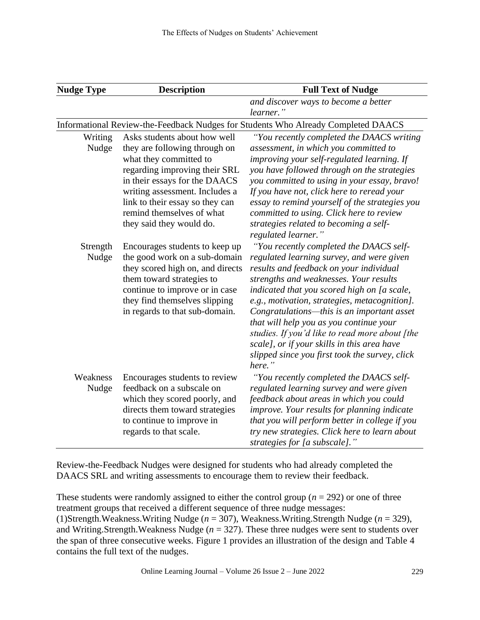| <b>Nudge Type</b> | <b>Description</b>                                                                                                                                                                                                                                                                      | <b>Full Text of Nudge</b>                                                                                                                                                                                                                                                                                                                                                                                                                                                                                                       |
|-------------------|-----------------------------------------------------------------------------------------------------------------------------------------------------------------------------------------------------------------------------------------------------------------------------------------|---------------------------------------------------------------------------------------------------------------------------------------------------------------------------------------------------------------------------------------------------------------------------------------------------------------------------------------------------------------------------------------------------------------------------------------------------------------------------------------------------------------------------------|
|                   |                                                                                                                                                                                                                                                                                         | and discover ways to become a better<br>learner."                                                                                                                                                                                                                                                                                                                                                                                                                                                                               |
|                   |                                                                                                                                                                                                                                                                                         | Informational Review-the-Feedback Nudges for Students Who Already Completed DAACS                                                                                                                                                                                                                                                                                                                                                                                                                                               |
| Writing<br>Nudge  | Asks students about how well<br>they are following through on<br>what they committed to<br>regarding improving their SRL<br>in their essays for the DAACS<br>writing assessment. Includes a<br>link to their essay so they can<br>remind themselves of what<br>they said they would do. | "You recently completed the DAACS writing<br>assessment, in which you committed to<br>improving your self-regulated learning. If<br>you have followed through on the strategies<br>you committed to using in your essay, bravo!<br>If you have not, click here to reread your<br>essay to remind yourself of the strategies you<br>committed to using. Click here to review<br>strategies related to becoming a self-<br>regulated learner."                                                                                    |
| Strength<br>Nudge | Encourages students to keep up<br>the good work on a sub-domain<br>they scored high on, and directs<br>them toward strategies to<br>continue to improve or in case<br>they find themselves slipping<br>in regards to that sub-domain.                                                   | "You recently completed the DAACS self-<br>regulated learning survey, and were given<br>results and feedback on your individual<br>strengths and weaknesses. Your results<br>indicated that you scored high on [a scale,<br>e.g., motivation, strategies, metacognition].<br>Congratulations-this is an important asset<br>that will help you as you continue your<br>studies. If you'd like to read more about [the<br>scale], or if your skills in this area have<br>slipped since you first took the survey, click<br>here." |
| Weakness<br>Nudge | Encourages students to review<br>feedback on a subscale on<br>which they scored poorly, and<br>directs them toward strategies<br>to continue to improve in<br>regards to that scale.                                                                                                    | "You recently completed the DAACS self-<br>regulated learning survey and were given<br>feedback about areas in which you could<br>improve. Your results for planning indicate<br>that you will perform better in college if you<br>try new strategies. Click here to learn about<br>strategies for [a subscale]."                                                                                                                                                                                                               |

Review-the-Feedback Nudges were designed for students who had already completed the DAACS SRL and writing assessments to encourage them to review their feedback.

These students were randomly assigned to either the control group ( $n = 292$ ) or one of three treatment groups that received a different sequence of three nudge messages: (1)Strength.Weakness.Writing Nudge (*n* = 307), Weakness.Writing.Strength Nudge (*n* = 329), and Writing.Strength.Weakness Nudge (*n* = 327). These three nudges were sent to students over the span of three consecutive weeks. Figure 1 provides an illustration of the design and Table 4 contains the full text of the nudges.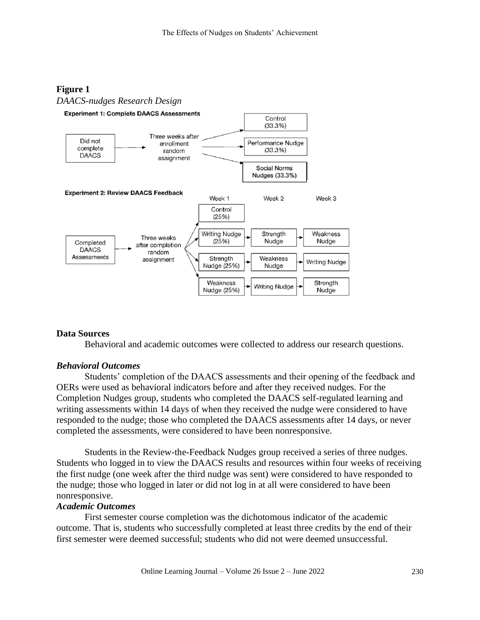#### **Figure 1**



#### **Data Sources**

Behavioral and academic outcomes were collected to address our research questions.

#### *Behavioral Outcomes*

Students' completion of the DAACS assessments and their opening of the feedback and OERs were used as behavioral indicators before and after they received nudges. For the Completion Nudges group, students who completed the DAACS self-regulated learning and writing assessments within 14 days of when they received the nudge were considered to have responded to the nudge; those who completed the DAACS assessments after 14 days, or never completed the assessments, were considered to have been nonresponsive.

Students in the Review-the-Feedback Nudges group received a series of three nudges. Students who logged in to view the DAACS results and resources within four weeks of receiving the first nudge (one week after the third nudge was sent) were considered to have responded to the nudge; those who logged in later or did not log in at all were considered to have been nonresponsive.

#### *Academic Outcomes*

First semester course completion was the dichotomous indicator of the academic outcome. That is, students who successfully completed at least three credits by the end of their first semester were deemed successful; students who did not were deemed unsuccessful.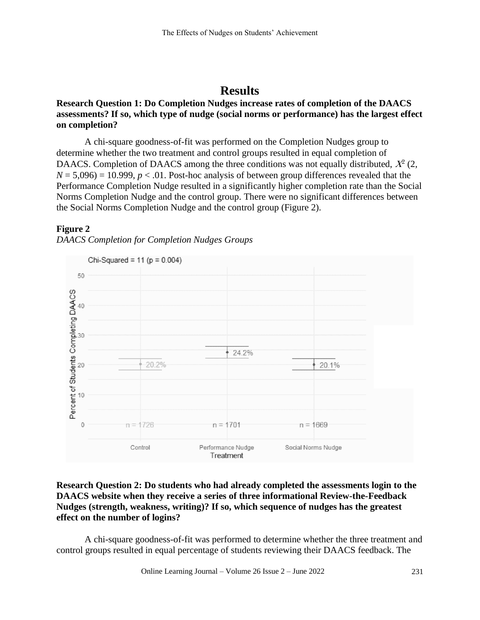## **Results**

#### **Research Question 1: Do Completion Nudges increase rates of completion of the DAACS assessments? If so, which type of nudge (social norms or performance) has the largest effect on completion?**

A chi-square goodness-of-fit was performed on the Completion Nudges group to determine whether the two treatment and control groups resulted in equal completion of DAACS. Completion of DAACS among the three conditions was not equally distributed,  $X^2$  (2,  $N = 5,096$  = 10.999,  $p < 0.01$ . Post-hoc analysis of between group differences revealed that the Performance Completion Nudge resulted in a significantly higher completion rate than the Social Norms Completion Nudge and the control group. There were no significant differences between the Social Norms Completion Nudge and the control group (Figure 2).

#### **Figure 2**





#### **Research Question 2: Do students who had already completed the assessments login to the DAACS website when they receive a series of three informational Review-the-Feedback Nudges (strength, weakness, writing)? If so, which sequence of nudges has the greatest effect on the number of logins?**

A chi-square goodness-of-fit was performed to determine whether the three treatment and control groups resulted in equal percentage of students reviewing their DAACS feedback. The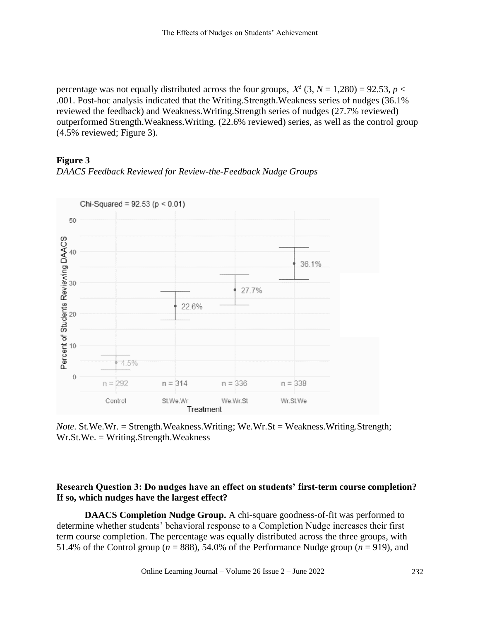percentage was not equally distributed across the four groups,  $X^2$  (3,  $N = 1,280$ ) = 92.53,  $p$  < .001. Post-hoc analysis indicated that the Writing.Strength.Weakness series of nudges (36.1% reviewed the feedback) and Weakness.Writing.Strength series of nudges (27.7% reviewed) outperformed Strength.Weakness.Writing. (22.6% reviewed) series, as well as the control group (4.5% reviewed; Figure 3).

#### **Figure 3**





*Note*. St.We.Wr. = Strength.Weakness.Writing; We.Wr.St = Weakness.Writing.Strength; Wr.St.We. = Writing.Strength.Weakness

#### **Research Question 3: Do nudges have an effect on students' first-term course completion? If so, which nudges have the largest effect?**

**DAACS Completion Nudge Group.** A chi-square goodness-of-fit was performed to determine whether students' behavioral response to a Completion Nudge increases their first term course completion. The percentage was equally distributed across the three groups, with 51.4% of the Control group ( $n = 888$ ), 54.0% of the Performance Nudge group ( $n = 919$ ), and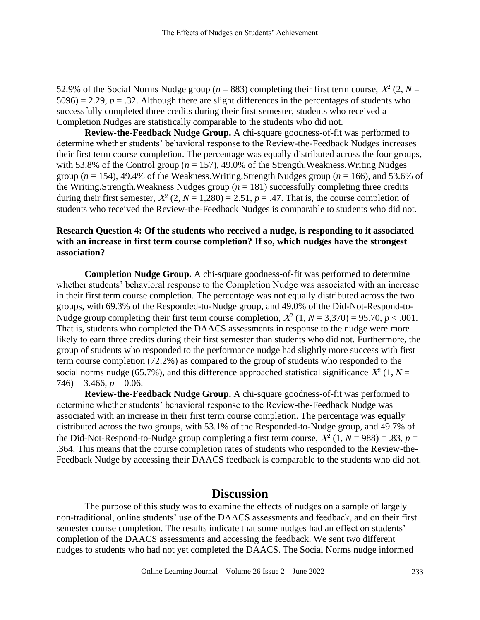52.9% of the Social Norms Nudge group ( $n = 883$ ) completing their first term course,  $X^2$  (2,  $N =$  $5096$ ) = 2.29,  $p = 0.32$ . Although there are slight differences in the percentages of students who successfully completed three credits during their first semester, students who received a Completion Nudges are statistically comparable to the students who did not.

**Review-the-Feedback Nudge Group.** A chi-square goodness-of-fit was performed to determine whether students' behavioral response to the Review-the-Feedback Nudges increases their first term course completion. The percentage was equally distributed across the four groups, with 53.8% of the Control group ( $n = 157$ ), 49.0% of the Strength. Weakness. Writing Nudges group (*n* = 154), 49.4% of the Weakness.Writing.Strength Nudges group (*n* = 166), and 53.6% of the Writing.Strength.Weakness Nudges group  $(n = 181)$  successfully completing three credits during their first semester,  $X^2$  (2,  $N = 1,280$ ) = 2.51,  $p = .47$ . That is, the course completion of students who received the Review-the-Feedback Nudges is comparable to students who did not.

#### **Research Question 4: Of the students who received a nudge, is responding to it associated with an increase in first term course completion? If so, which nudges have the strongest association?**

**Completion Nudge Group.** A chi-square goodness-of-fit was performed to determine whether students' behavioral response to the Completion Nudge was associated with an increase in their first term course completion. The percentage was not equally distributed across the two groups, with 69.3% of the Responded-to-Nudge group, and 49.0% of the Did-Not-Respond-to-Nudge group completing their first term course completion,  $X^2$  (1,  $N = 3,370$ ) = 95.70,  $p < .001$ . That is, students who completed the DAACS assessments in response to the nudge were more likely to earn three credits during their first semester than students who did not. Furthermore, the group of students who responded to the performance nudge had slightly more success with first term course completion (72.2%) as compared to the group of students who responded to the social norms nudge (65.7%), and this difference approached statistical significance  $X^2$  (1,  $N =$  $746$ ) = 3.466,  $p = 0.06$ .

**Review-the-Feedback Nudge Group.** A chi-square goodness-of-fit was performed to determine whether students' behavioral response to the Review-the-Feedback Nudge was associated with an increase in their first term course completion. The percentage was equally distributed across the two groups, with 53.1% of the Responded-to-Nudge group, and 49.7% of the Did-Not-Respond-to-Nudge group completing a first term course,  $X^2$  (1,  $N = 988$ ) = .83,  $p =$ .364. This means that the course completion rates of students who responded to the Review-the-Feedback Nudge by accessing their DAACS feedback is comparable to the students who did not.

## **Discussion**

The purpose of this study was to examine the effects of nudges on a sample of largely non-traditional, online students' use of the DAACS assessments and feedback, and on their first semester course completion. The results indicate that some nudges had an effect on students' completion of the DAACS assessments and accessing the feedback. We sent two different nudges to students who had not yet completed the DAACS. The Social Norms nudge informed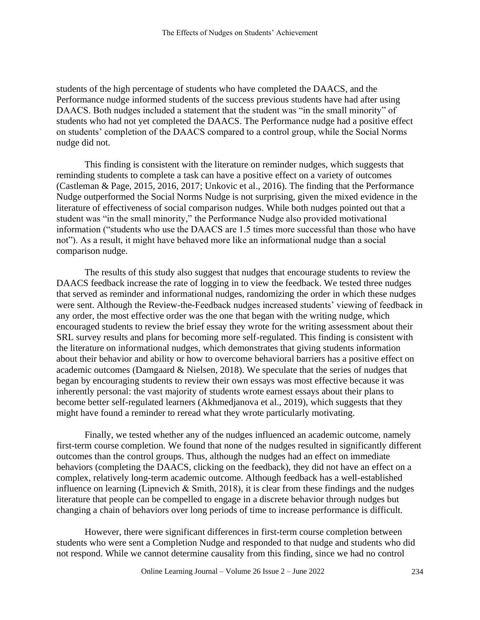students of the high percentage of students who have completed the DAACS, and the Performance nudge informed students of the success previous students have had after using DAACS. Both nudges included a statement that the student was "in the small minority" of students who had not yet completed the DAACS. The Performance nudge had a positive effect on students' completion of the DAACS compared to a control group, while the Social Norms nudge did not.

This finding is consistent with the literature on reminder nudges, which suggests that reminding students to complete a task can have a positive effect on a variety of outcomes (Castleman & Page, 2015, 2016, 2017; Unkovic et al., 2016). The finding that the Performance Nudge outperformed the Social Norms Nudge is not surprising, given the mixed evidence in the literature of effectiveness of social comparison nudges. While both nudges pointed out that a student was "in the small minority," the Performance Nudge also provided motivational information ("students who use the DAACS are 1.5 times more successful than those who have not"). As a result, it might have behaved more like an informational nudge than a social comparison nudge.

The results of this study also suggest that nudges that encourage students to review the DAACS feedback increase the rate of logging in to view the feedback. We tested three nudges that served as reminder and informational nudges, randomizing the order in which these nudges were sent. Although the Review-the-Feedback nudges increased students' viewing of feedback in any order, the most effective order was the one that began with the writing nudge, which encouraged students to review the brief essay they wrote for the writing assessment about their SRL survey results and plans for becoming more self-regulated. This finding is consistent with the literature on informational nudges, which demonstrates that giving students information about their behavior and ability or how to overcome behavioral barriers has a positive effect on academic outcomes (Damgaard & Nielsen, 2018). We speculate that the series of nudges that began by encouraging students to review their own essays was most effective because it was inherently personal: the vast majority of students wrote earnest essays about their plans to become better self-regulated learners (Akhmedjanova et al., 2019), which suggests that they might have found a reminder to reread what they wrote particularly motivating.

Finally, we tested whether any of the nudges influenced an academic outcome, namely first-term course completion. We found that none of the nudges resulted in significantly different outcomes than the control groups. Thus, although the nudges had an effect on immediate behaviors (completing the DAACS, clicking on the feedback), they did not have an effect on a complex, relatively long-term academic outcome. Although feedback has a well-established influence on learning (Lipnevich & Smith, 2018), it is clear from these findings and the nudges literature that people can be compelled to engage in a discrete behavior through nudges but changing a chain of behaviors over long periods of time to increase performance is difficult.

However, there were significant differences in first-term course completion between students who were sent a Completion Nudge and responded to that nudge and students who did not respond. While we cannot determine causality from this finding, since we had no control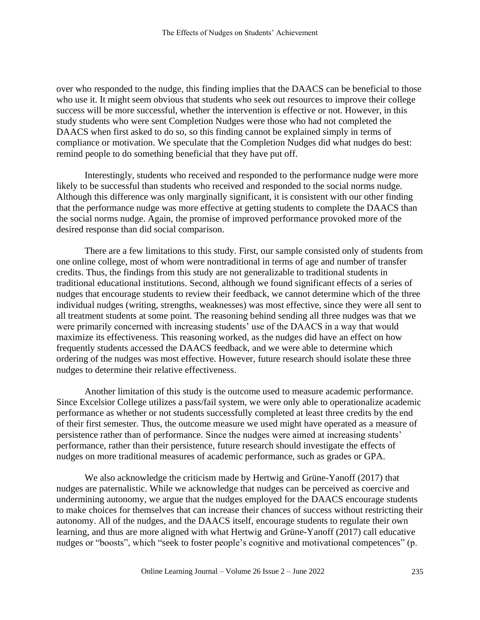over who responded to the nudge, this finding implies that the DAACS can be beneficial to those who use it. It might seem obvious that students who seek out resources to improve their college success will be more successful, whether the intervention is effective or not. However, in this study students who were sent Completion Nudges were those who had not completed the DAACS when first asked to do so, so this finding cannot be explained simply in terms of compliance or motivation. We speculate that the Completion Nudges did what nudges do best: remind people to do something beneficial that they have put off.

Interestingly, students who received and responded to the performance nudge were more likely to be successful than students who received and responded to the social norms nudge. Although this difference was only marginally significant, it is consistent with our other finding that the performance nudge was more effective at getting students to complete the DAACS than the social norms nudge. Again, the promise of improved performance provoked more of the desired response than did social comparison.

There are a few limitations to this study. First, our sample consisted only of students from one online college, most of whom were nontraditional in terms of age and number of transfer credits. Thus, the findings from this study are not generalizable to traditional students in traditional educational institutions. Second, although we found significant effects of a series of nudges that encourage students to review their feedback, we cannot determine which of the three individual nudges (writing, strengths, weaknesses) was most effective, since they were all sent to all treatment students at some point. The reasoning behind sending all three nudges was that we were primarily concerned with increasing students' use of the DAACS in a way that would maximize its effectiveness. This reasoning worked, as the nudges did have an effect on how frequently students accessed the DAACS feedback, and we were able to determine which ordering of the nudges was most effective. However, future research should isolate these three nudges to determine their relative effectiveness.

Another limitation of this study is the outcome used to measure academic performance. Since Excelsior College utilizes a pass/fail system, we were only able to operationalize academic performance as whether or not students successfully completed at least three credits by the end of their first semester. Thus, the outcome measure we used might have operated as a measure of persistence rather than of performance. Since the nudges were aimed at increasing students' performance, rather than their persistence, future research should investigate the effects of nudges on more traditional measures of academic performance, such as grades or GPA.

We also acknowledge the criticism made by Hertwig and Grüne-Yanoff (2017) that nudges are paternalistic. While we acknowledge that nudges can be perceived as coercive and undermining autonomy, we argue that the nudges employed for the DAACS encourage students to make choices for themselves that can increase their chances of success without restricting their autonomy. All of the nudges, and the DAACS itself, encourage students to regulate their own learning, and thus are more aligned with what Hertwig and Grüne-Yanoff (2017) call educative nudges or "boosts", which "seek to foster people's cognitive and motivational competences" (p.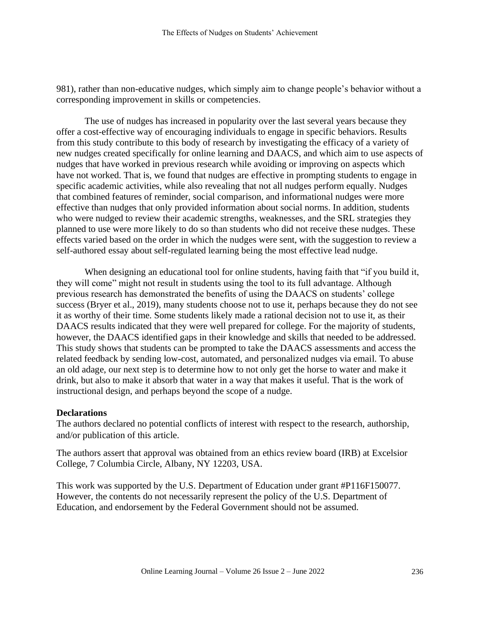981), rather than non-educative nudges, which simply aim to change people's behavior without a corresponding improvement in skills or competencies.

The use of nudges has increased in popularity over the last several years because they offer a cost-effective way of encouraging individuals to engage in specific behaviors. Results from this study contribute to this body of research by investigating the efficacy of a variety of new nudges created specifically for online learning and DAACS, and which aim to use aspects of nudges that have worked in previous research while avoiding or improving on aspects which have not worked. That is, we found that nudges are effective in prompting students to engage in specific academic activities, while also revealing that not all nudges perform equally. Nudges that combined features of reminder, social comparison, and informational nudges were more effective than nudges that only provided information about social norms. In addition, students who were nudged to review their academic strengths, weaknesses, and the SRL strategies they planned to use were more likely to do so than students who did not receive these nudges. These effects varied based on the order in which the nudges were sent, with the suggestion to review a self-authored essay about self-regulated learning being the most effective lead nudge.

When designing an educational tool for online students, having faith that "if you build it, they will come" might not result in students using the tool to its full advantage. Although previous research has demonstrated the benefits of using the DAACS on students' college success (Bryer et al., 2019), many students choose not to use it, perhaps because they do not see it as worthy of their time. Some students likely made a rational decision not to use it, as their DAACS results indicated that they were well prepared for college. For the majority of students, however, the DAACS identified gaps in their knowledge and skills that needed to be addressed. This study shows that students can be prompted to take the DAACS assessments and access the related feedback by sending low-cost, automated, and personalized nudges via email. To abuse an old adage, our next step is to determine how to not only get the horse to water and make it drink, but also to make it absorb that water in a way that makes it useful. That is the work of instructional design, and perhaps beyond the scope of a nudge.

#### **Declarations**

The authors declared no potential conflicts of interest with respect to the research, authorship, and/or publication of this article.

The authors assert that approval was obtained from an ethics review board (IRB) at Excelsior College, 7 Columbia Circle, Albany, NY 12203, USA.

This work was supported by the U.S. Department of Education under grant #P116F150077. However, the contents do not necessarily represent the policy of the U.S. Department of Education, and endorsement by the Federal Government should not be assumed.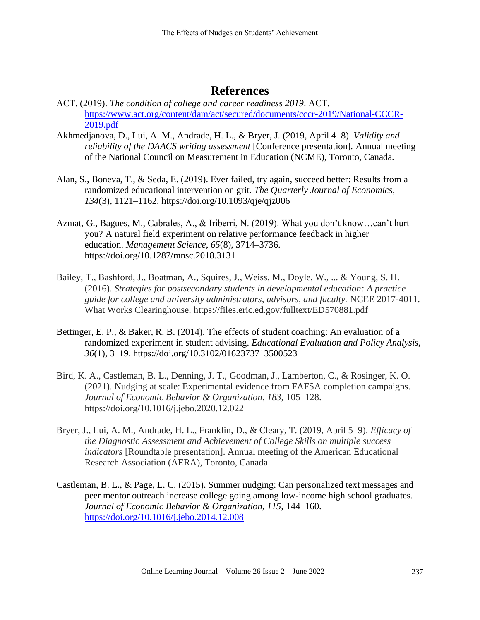# **References**

- ACT. (2019). *The condition of college and career readiness 2019*. ACT. [https://www.act.org/content/dam/act/secured/documents/cccr-2019/National-CCCR-](https://www.act.org/content/dam/act/secured/documents/cccr-2019/National-CCCR-2019.pdf)[2019.pdf](https://www.act.org/content/dam/act/secured/documents/cccr-2019/National-CCCR-2019.pdf)
- Akhmedjanova, D., Lui, A. M., Andrade, H. L., & Bryer, J. (2019, April 4–8). *Validity and reliability of the DAACS writing assessment* [Conference presentation]*.* Annual meeting of the National Council on Measurement in Education (NCME), Toronto, Canada.
- Alan, S., Boneva, T., & Seda, E. (2019). Ever failed, try again, succeed better: Results from a randomized educational intervention on grit. *The Quarterly Journal of Economics, 134*(3), 1121–1162. https://doi.org/10.1093/qje/qjz006
- Azmat, G., Bagues, M., Cabrales, A., & Iriberri, N. (2019). What you don't know…can't hurt you? A natural field experiment on relative performance feedback in higher education. *Management Science*, *65*(8), 3714–3736. https://doi.org/10.1287/mnsc.2018.3131
- Bailey, T., Bashford, J., Boatman, A., Squires, J., Weiss, M., Doyle, W., ... & Young, S. H. (2016). *Strategies for postsecondary students in developmental education: A practice guide for college and university administrators, advisors, and faculty.* NCEE 2017-4011. What Works Clearinghouse. https://files.eric.ed.gov/fulltext/ED570881.pdf
- Bettinger, E. P., & Baker, R. B. (2014). The effects of student coaching: An evaluation of a randomized experiment in student advising. *Educational Evaluation and Policy Analysis, 36*(1), 3–19. https://doi.org/10.3102/0162373713500523
- Bird, K. A., Castleman, B. L., Denning, J. T., Goodman, J., Lamberton, C., & Rosinger, K. O. (2021). Nudging at scale: Experimental evidence from FAFSA completion campaigns. *Journal of Economic Behavior & Organization*, *183*, 105–128. https://doi.org/10.1016/j.jebo.2020.12.022
- Bryer, J., Lui, A. M., Andrade, H. L., Franklin, D., & Cleary, T. (2019, April 5–9). *Efficacy of the Diagnostic Assessment and Achievement of College Skills on multiple success indicators* [Roundtable presentation]. Annual meeting of the American Educational Research Association (AERA), Toronto, Canada.
- Castleman, B. L., & Page, L. C. (2015). Summer nudging: Can personalized text messages and peer mentor outreach increase college going among low-income high school graduates. *Journal of Economic Behavior & Organization, 115,* 144–160. <https://doi.org/10.1016/j.jebo.2014.12.008>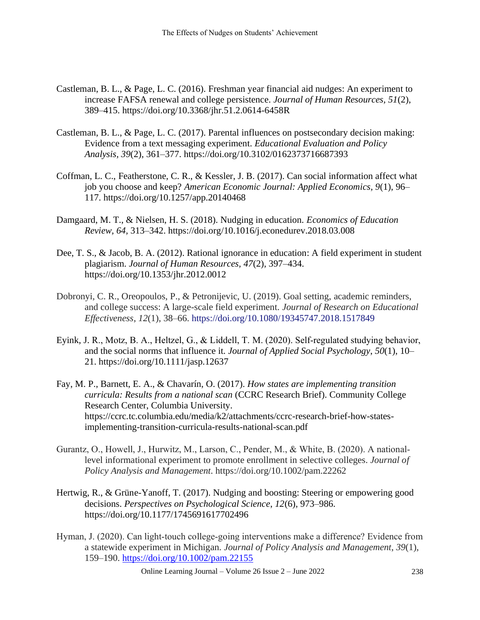- Castleman, B. L., & Page, L. C. (2016). Freshman year financial aid nudges: An experiment to increase FAFSA renewal and college persistence. *Journal of Human Resources, 51*(2), 389–415. https://doi.org/10.3368/jhr.51.2.0614-6458R
- Castleman, B. L., & Page, L. C. (2017). Parental influences on postsecondary decision making: Evidence from a text messaging experiment. *Educational Evaluation and Policy Analysis, 39*(2), 361–377. https://doi.org/10.3102/0162373716687393
- Coffman, L. C., Featherstone, C. R., & Kessler, J. B. (2017). Can social information affect what job you choose and keep? *American Economic Journal: Applied Economics, 9*(1), 96– 117. https://doi.org/10.1257/app.20140468
- Damgaard, M. T., & Nielsen, H. S. (2018). Nudging in education. *Economics of Education Review, 64,* 313–342. https://doi.org/10.1016/j.econedurev.2018.03.008
- Dee, T. S., & Jacob, B. A. (2012). Rational ignorance in education: A field experiment in student plagiarism. *Journal of Human Resources, 47*(2), 397–434. https://doi.org/10.1353/jhr.2012.0012
- Dobronyi, C. R., Oreopoulos, P., & Petronijevic, U. (2019). Goal setting, academic reminders, and college success: A large-scale field experiment. *Journal of Research on Educational Effectiveness*, *12*(1), 38–66. https://doi.org/10.1080/19345747.2018.1517849
- Eyink, J. R., Motz, B. A., Heltzel, G., & Liddell, T. M. (2020). Self‐regulated studying behavior, and the social norms that influence it. *Journal of Applied Social Psychology*, *50*(1), 10– 21. https://doi.org/10.1111/jasp.12637
- Fay, M. P., Barnett, E. A., & Chavarín, O. (2017). *How states are implementing transition curricula: Results from a national scan* (CCRC Research Brief). Community College Research Center, Columbia University. https://ccrc.tc.columbia.edu/media/k2/attachments/ccrc-research-brief-how-statesimplementing-transition-curricula-results-national-scan.pdf
- Gurantz, O., Howell, J., Hurwitz, M., Larson, C., Pender, M., & White, B. (2020). A national‐ level informational experiment to promote enrollment in selective colleges. *Journal of Policy Analysis and Management*. https://doi.org/10.1002/pam.22262
- Hertwig, R., & Grüne-Yanoff, T. (2017). Nudging and boosting: Steering or empowering good decisions. *Perspectives on Psychological Science*, *12*(6), 973–986. https://doi.org/10.1177/1745691617702496
- Hyman, J. (2020). Can light‐touch college‐going interventions make a difference? Evidence from a statewide experiment in Michigan. *Journal of Policy Analysis and Management*, *39*(1), 159–190. <https://doi.org/10.1002/pam.22155>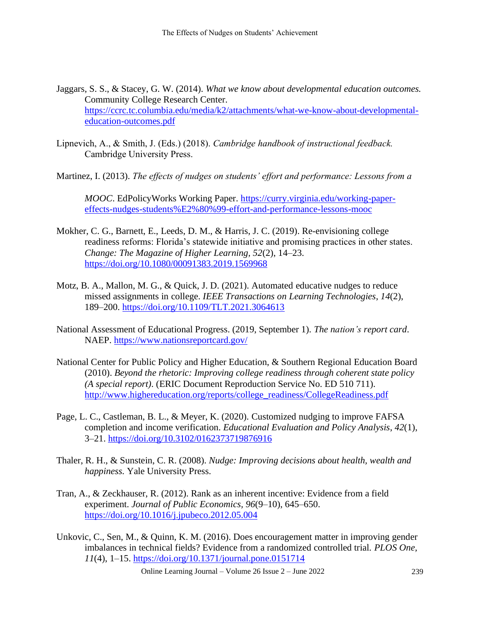- Jaggars, S. S., & Stacey, G. W. (2014). *What we know about developmental education outcomes.*  Community College Research Center. [https://ccrc.tc.columbia.edu/media/k2/attachments/what-we-know-about-developmental](https://ccrc.tc.columbia.edu/media/k2/attachments/what-we-know-about-developmental-education-outcomes.pdf)[education-outcomes.pdf](https://ccrc.tc.columbia.edu/media/k2/attachments/what-we-know-about-developmental-education-outcomes.pdf)
- Lipnevich, A., & Smith, J. (Eds.) (2018). *Cambridge handbook of instructional feedback.*  Cambridge University Press.
- Martinez, I. (2013). *The effects of nudges on students' effort and performance: Lessons from a*

*MOOC*. EdPolicyWorks Working Paper. [https://curry.virginia.edu/working-paper](https://curry.virginia.edu/working-paper-effects-nudges-students%E2%80%99-effort-and-performance-lessons-mooc)[effects-nudges-students%E2%80%99-effort-and-performance-lessons-mooc](https://curry.virginia.edu/working-paper-effects-nudges-students%E2%80%99-effort-and-performance-lessons-mooc)

- Mokher, C. G., Barnett, E., Leeds, D. M., & Harris, J. C. (2019). Re-envisioning college readiness reforms: Florida's statewide initiative and promising practices in other states. *Change: The Magazine of Higher Learning, 52*(2), 14–23. <https://doi.org/10.1080/00091383.2019.1569968>
- Motz, B. A., Mallon, M. G., & Quick, J. D. (2021). Automated educative nudges to reduce missed assignments in college. *IEEE Transactions on Learning Technologies*, *14*(2), 189–200.<https://doi.org/10.1109/TLT.2021.3064613>
- National Assessment of Educational Progress. (2019, September 1). *The nation's report card*. NAEP.<https://www.nationsreportcard.gov/>
- National Center for Public Policy and Higher Education, & Southern Regional Education Board (2010). *Beyond the rhetoric: Improving college readiness through coherent state policy (A special report)*. (ERIC Document Reproduction Service No. ED 510 711). [http://www.highereducation.org/reports/college\\_readiness/CollegeReadiness.pdf](http://www.highereducation.org/reports/college_readiness/CollegeReadiness.pdf)
- Page, L. C., Castleman, B. L., & Meyer, K. (2020). Customized nudging to improve FAFSA completion and income verification. *Educational Evaluation and Policy Analysis*, *42*(1), 3–21.<https://doi.org/10.3102/0162373719876916>
- Thaler, R. H., & Sunstein, C. R. (2008). *Nudge: Improving decisions about health, wealth and happiness.* Yale University Press.
- Tran, A., & Zeckhauser, R. (2012). Rank as an inherent incentive: Evidence from a field experiment. *Journal of Public Economics, 96*(9–10), 645–650. <https://doi.org/10.1016/j.jpubeco.2012.05.004>
- Unkovic, C., Sen, M., & Quinn, K. M. (2016). Does encouragement matter in improving gender imbalances in technical fields? Evidence from a randomized controlled trial. *PLOS One, 11*(4), 1–15.<https://doi.org/10.1371/journal.pone.0151714>